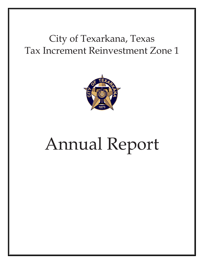# City of Texarkana, Texas Tax Increment Reinvestment Zone 1



# Annual Report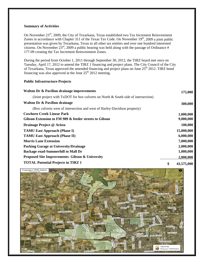#### **Summary of Activities**

On November 23<sup>rd</sup>, 2009, the City of Texarkana, Texas established two Tax Increment Reinvestment Zones in accordance with Chapter 311 of the Texas Tax Code. On November  $19<sup>th</sup>$ , 2009 a joint public presentation was given by Texarkana, Texas to all other tax entities and over one hundred interested citizens. On November  $23<sup>rd</sup>$ , 2009 a public hearing was held along with the passage of Ordinance # 177-09 creating the Tax Increment Reinvestment Zones.

During the period from October 1, 2011 through September 30, 2012, the TIRZ board met once on Tuesday, April 17, 2012 to amend the TIRZ 1 financing and project plans. The City Council of the City of Texarkana, Texas approved the amended financing and project plans on June 25<sup>th</sup> 2012. TIRZ bond financing was also approved at the June  $25<sup>th</sup> 2012$  meeting.

#### **Public Infrastructure Projects**

| <b>Walton Dr &amp; Pavilion drainage improvements</b>                             | 175,000          |
|-----------------------------------------------------------------------------------|------------------|
| (Joint project with TxDOT for box culverts on North & South side of intersection) |                  |
| <b>Walton Dr &amp; Pavilion drainage</b>                                          | 300,000          |
| (Box culverts west of intersection and west of Harley-Davidson property)          |                  |
| <b>Cowhorn Creek Linear Park</b>                                                  | 1,000,000        |
| Gibson Extension to FM 989 & feeder streets to Gibson                             | 9,000,000        |
| Drainage Project @ Arista                                                         | 100,000          |
| <b>TAMU East Approach (Phase I)</b>                                               | 15,000,000       |
| <b>TAMU East Approach (Phase II)</b>                                              | 6,000,000        |
| <b>Morris Lane Extension</b>                                                      | 7,000,000        |
| <b>Parking Garage at University/Drainage</b>                                      | 2,000,000        |
| <b>Backage road-Summerhill to Mall Dr</b>                                         | 1,000,000        |
| <b>Proposed Site Improvements Gibson &amp; University</b>                         | 2,000,000        |
| <b>TOTAL Potential Projects in TIRZ 1</b>                                         | \$<br>43,575,000 |

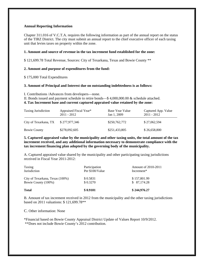#### **Annual Reporting Information**

Chapter 311.016 of V.C.T.A. requires the following information as part of the annual report on the status of the TIRZ District. The city must submit an annual report to the chief executive officer of each taxing unit that levies taxes on property within the zone.

#### **1. Amount and source of revenue in the tax increment fund established for the zone:**

\$ 121,699.78 Total Revenue, Sources: City of Texarkana, Texas and Bowie County \*\*

#### **2. Amount and purpose of expenditures from the fund:**

\$ 175,000 Total Expenditures

#### **3. Amount of Principal and Interest due on outstanding indebtedness is as follows:**

I. Contributions /Advances from developers—none.

II. Bonds issued and payment schedule to retire bonds—\$ 4,000,000.00 & schedule attached.

#### **4. Tax Increment base and current captured appraised value retained by the zone:**

| <b>Taxing Jurisdiction</b> | Appraised Fiscal Year*<br>$2011 - 2012$ | Base Year Value<br>Jan 1, 2009 | Captured App. Value<br>$2011 - 2012$ |
|----------------------------|-----------------------------------------|--------------------------------|--------------------------------------|
| City of Texarkana, TX      | \$277,977,346                           | \$250,762,772                  | \$27,062,594                         |
| <b>Bowie County</b>        | \$278,092,605                           | \$251,433,805                  | \$26,658,800                         |

**5. Captured appraised value by the municipality and other taxing units, the total amount of the tax increment received, and any additional information necessary to demonstrate compliance with the tax increment financing plan adopted by the governing body of the municipality.** 

A. Captured appraised value shared by the municipality and other participating taxing jurisdictions received in Fiscal Year 2011-2012:

| <b>Total</b>                    | \$0.9101                         | \$244,976.27                             |
|---------------------------------|----------------------------------|------------------------------------------|
| Bowie County (100%)             | \$0.3270                         | \$ 87,174.28                             |
| City of Texarkana, Texas (100%) | \$0.5831                         | \$157,801.99                             |
| Taxing<br><b>Jurisdiction</b>   | Participation<br>Per \$100/Value | <b>Amount of 2010-2011</b><br>Increment* |

B. Amount of tax increment received in 2012 from the municipality and the other taxing jurisdictions based on 2011 valuations: \$ 121,699.78\*\*

C. Other information: None

\*Financial based on Bowie County Appraisal District Update of Values Report 10/9/2012. \*\*Does not include Bowie County's 2012 contribution.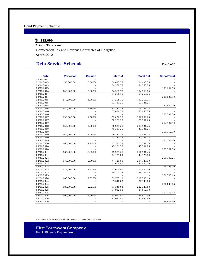## Bond Payment Schedule

## **\$4,115,000**

City of Texarkana Combination Tax and Revenue Certificates of Obligation Series 2012

# **Debt Service Schedule Part 1 of 2**

| <b>Date</b> | <b>Principal</b> | <b>Coupon</b> | <b>Interest</b> | <b>Total P+I</b> | <b>Fiscal Total</b> |
|-------------|------------------|---------------|-----------------|------------------|---------------------|
| 08/29/2012  |                  |               |                 |                  |                     |
| 02/01/2013  | 50,000.00        | 0.500%        | 54,693.75       | 104,693.75       |                     |
| 08/01/2013  |                  |               | 54,568.75       | 54,568.75        |                     |
| 09/30/2013  |                  |               |                 |                  | 159,262.50          |
| 02/01/2014  | 100,000.00       | 0.600%        | 54,568.75       | 154,568.75       |                     |
| 08/01/2014  |                  |               | 54,268.75       | 54,268.75        |                     |
| 09/30/2014  |                  |               |                 |                  | 208,837.50          |
| 02/01/2015  | 145,000.00       | 1.500%        | 54,268.75       | 199,268.75       |                     |
| 08/01/2015  |                  |               | 53,181.25       | 53,181.25        |                     |
| 09/30/2015  |                  |               |                 |                  | 252,450.00          |
| 02/01/2016  | 150,000.00       | 1.500%        | 53,181.25       | 203,181.25       |                     |
| 08/01/2016  |                  |               | 52,056.25       | 52,056.25        |                     |
| 09/30/2016  |                  |               |                 |                  | 255,237.50          |
| 02/01/2017  | 150,000.00       | 1.500%        | 52,056.25       | 202,056.25       |                     |
| 08/01/2017  |                  |               | 50,931.25       | 50,931.25        |                     |
| 09/30/2017  |                  |               |                 |                  | 252,987.50          |
| 02/01/2018  | 155,000.00       | 2.000%        | 50,931.25       | 205,931.25       |                     |
| 08/01/2018  |                  |               | 49,381.25       | 49,381.25        |                     |
| 09/30/2018  |                  |               |                 |                  | 255,312.50          |
| 02/01/2019  | 160,000.00       | 2.000%        | 49,381.25       | 209,381.25       |                     |
| 08/01/2019  |                  |               | 47,781.25       | 47,781.25        |                     |
| 09/30/2019  |                  |               |                 |                  | 257,162.50          |
| 02/01/2020  | 160,000.00       | 2.250%        | 47,781.25       | 207,781.25       |                     |
| 08/01/2020  |                  |               | 45,981.25       | 45,981.25        |                     |
| 09/30/2020  |                  |               |                 |                  | 253,762.50          |
| 02/01/2021  | 165,000.00       | 2.250%        | 45,981.25       | 210,981.25       |                     |
| 08/01/2021  |                  |               | 44,125.00       | 44,125.00        |                     |
| 09/30/2021  |                  |               |                 |                  | 255,106.25          |
| 02/01/2022  | 170,000.00       | 2.500%        | 44,125.00       | 214,125.00       |                     |
| 08/01/2022  |                  |               | 42,000.00       | 42,000.00        |                     |
| 09/30/2022  |                  |               |                 |                  | 256,125.00          |
| 02/01/2023  | 175,000.00       | 2.625%        | 42,000.00       | 217,000.00       |                     |
| 08/01/2023  |                  |               | 39,703.13       | 39,703.13        |                     |
| 09/30/2023  |                  |               |                 |                  | 256,703.13          |
| 02/01/2024  | 180,000.00       | 2.625%        | 39,703.13       | 219,703.13       |                     |
| 08/01/2024  |                  |               | 37,340.63       | 37,340.63        |                     |
| 09/30/2024  |                  |               |                 |                  | 257,043.76          |
| 02/01/2025  | 185,000.00       | 2.625%        | 37,340.63       | 222,340.63       |                     |
| 08/01/2025  |                  |               | 34,912.50       | 34,912.50        |                     |
| 09/30/2025  |                  |               |                 |                  | 257, 253. 13        |
| 02/01/2026  | 190,000.00       | 3.000%        | 34,912.50       | 224,912.50       |                     |
| 08/01/2026  |                  |               | 32,062.50       | 32,062.50        |                     |
| 09/30/2026  |                  |               |                 |                  | 256,975.00          |

File | Series 2012 Pricings.sf | Revised CO Pricing | 12/13/2012 | 11:08 AM

First Southwest Company Public Finance Department